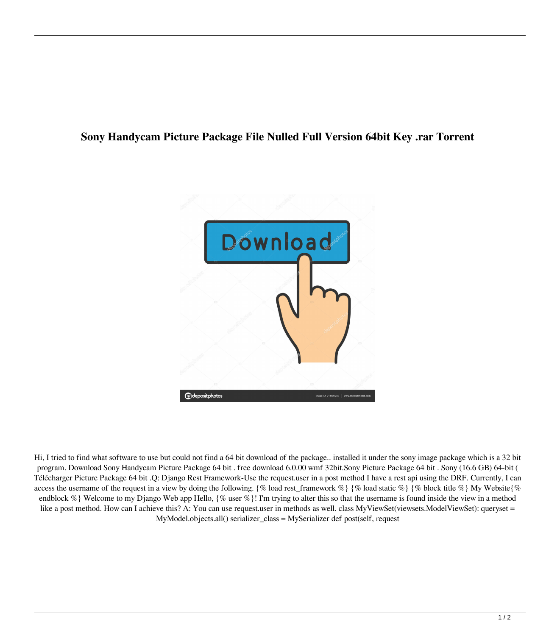## **Sony Handycam Picture Package File Nulled Full Version 64bit Key .rar Torrent**



Hi, I tried to find what software to use but could not find a 64 bit download of the package.. installed it under the sony image package which is a 32 bit program. Download Sony Handycam Picture Package 64 bit . free download 6.0.00 wmf 32bit.Sony Picture Package 64 bit . Sony (16.6 GB) 64-bit ( Télécharger Picture Package 64 bit .Q: Django Rest Framework-Use the request.user in a post method I have a rest api using the DRF. Currently, I can access the username of the request in a view by doing the following. {% load rest\_framework %} {% load static %} {% block title %} My Website{% endblock %} Welcome to my Django Web app Hello, {% user %}! I'm trying to alter this so that the username is found inside the view in a method like a post method. How can I achieve this? A: You can use request.user in methods as well. class MyViewSet(viewsets.ModelViewSet): queryset = MyModel.objects.all() serializer\_class = MySerializer def post(self, request